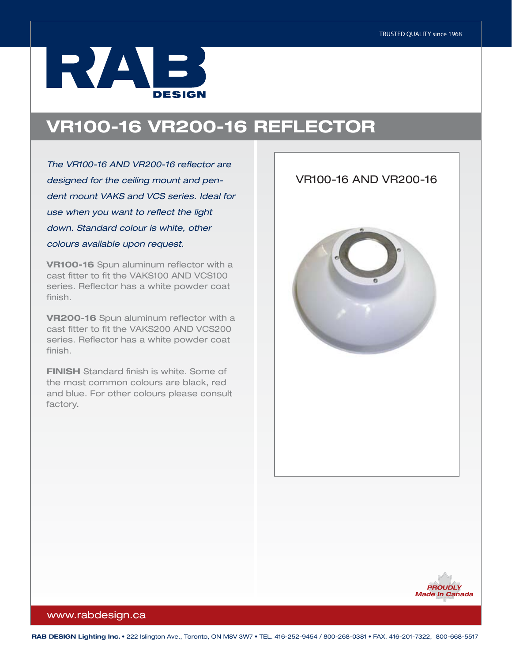## RZAJE3 **DESIGN**

## VR100-16 VR200-16 REFLECTOR

*The VR100-16 AND VR200-16 reflector are designed for the ceiling mount and pendent mount VAKS and VCS series. Ideal for use when you want to reflect the light down. Standard colour is white, other colours available upon request.* 

VR100-16 Spun aluminum reflector with a cast fitter to fit the VAKS100 AND VCS100 series. Reflector has a white powder coat finish.

VR200-16 Spun aluminum reflector with a cast fitter to fit the VAKS200 AND VCS200 series. Reflector has a white powder coat finish.

FINISH Standard finish is white. Some of the most common colours are black, red and blue. For other colours please consult factory.





## www.rabdesign.ca